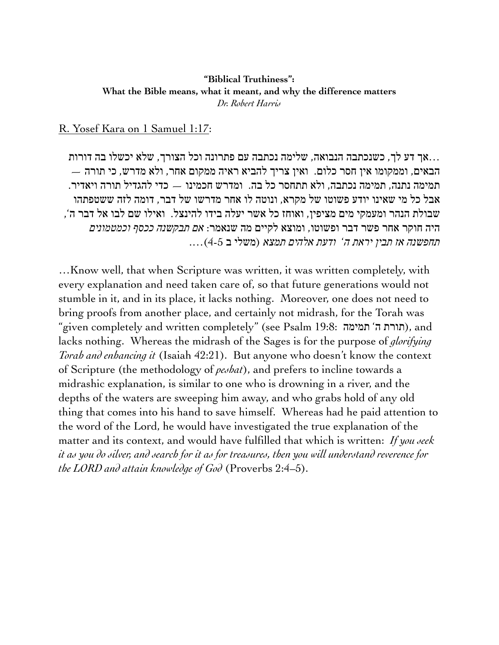## **"Biblical Truthiness": What the Bible means, what it meant, and why the difference matters** *Dr. Robert Harris*

R. Yosef Kara on 1 Samuel 1:17:

...אך דע לך, כשנכתבה הנבואה, שלימה נכתבה עם פתרונה וכל הצורך, שלא יכשלו בה דורות הבאים, וממקומו אין חסר כלום. ואין צריך להביא ראיה ממקום אחר, ולא מדרש, כי תורה — תמימה נתנה, תמימה נכתבה, ולא תתחסר כל בה. ומדרש חכמינו — כדי להגדיל תורה ויאדיר. אבל כל מי שאינו יודע פשוטו של מקרא, ונוטה לו אחר מדרשו של דבר, דומה לזה ששטפתהו שבולת הנהר ומעמקי מים מציפין, ואוחז כל אשר יעלה בידו להינצל. ואילו שם לבו אל דבר ה', היה חוקר אחר פשר דבר ופשוטו, ומוצא לקיים מה שנאמר: אם תבקשנה ככסף וכמטמונים תחפשנה אז תבין יראת ה' ודעת אלהים תמצא (משלי ב 4-5)....

…Know well, that when Scripture was written, it was written completely, with every explanation and need taken care of, so that future generations would not stumble in it, and in its place, it lacks nothing. Moreover, one does not need to bring proofs from another place, and certainly not midrash, for the Torah was "given completely and written completely" (see Psalm 19:8: תורת ה' תמימה), and lacks nothing. Whereas the midrash of the Sages is for the purpose of *glorifying Torah and enhancing it* (Isaiah 42:21). But anyone who doesn't know the context of Scripture (the methodology of *peshat*), and prefers to incline towards a midrashic explanation, is similar to one who is drowning in a river, and the depths of the waters are sweeping him away, and who grabs hold of any old thing that comes into his hand to save himself. Whereas had he paid attention to the word of the Lord, he would have investigated the true explanation of the matter and its context, and would have fulfilled that which is written: *If you seek it as you do silver, and search for it as for treasures, then you will understand reverence for the LORD and attain knowledge of God* (Proverbs 2:4–5).